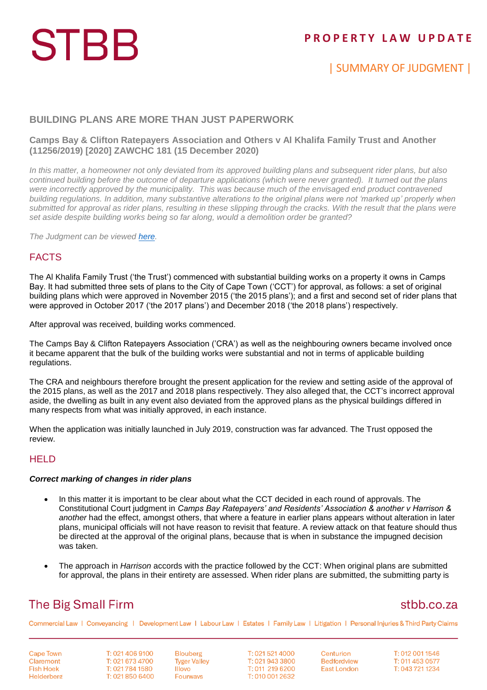# **STBB**

## **P R O P E R T Y L A W U P D A T E**

## | SUMMARY OF JUDGMENT |

#### **BUILDING PLANS ARE MORE THAN JUST PAPERWORK**

#### **Camps Bay & Clifton Ratepayers Association and Others v Al Khalifa Family Trust and Another (11256/2019) [2020] ZAWCHC 181 (15 December 2020)**

*In this matter, a homeowner not only deviated from its approved building plans and subsequent rider plans, but also continued building before the outcome of departure applications (which were never granted). It turned out the plans were incorrectly approved by the municipality. This was because much of the envisaged end product contravened building regulations. In addition, many substantive alterations to the original plans were not 'marked up' properly when submitted for approval as rider plans, resulting in these slipping through the cracks. With the result that the plans were set aside despite building works being so far along, would a demolition order be granted?*

*The Judgment can be viewed [here.](http://www.saflii.org/za/cases/ZAWCHC/2020/181.html)*

#### FACTS

The Al Khalifa Family Trust ('the Trust') commenced with substantial building works on a property it owns in Camps Bay. It had submitted three sets of plans to the City of Cape Town ('CCT') for approval, as follows: a set of original building plans which were approved in November 2015 ('the 2015 plans'); and a first and second set of rider plans that were approved in October 2017 ('the 2017 plans') and December 2018 ('the 2018 plans') respectively.

After approval was received, building works commenced.

The Camps Bay & Clifton Ratepayers Association ('CRA') as well as the neighbouring owners became involved once it became apparent that the bulk of the building works were substantial and not in terms of applicable building regulations.

The CRA and neighbours therefore brought the present application for the review and setting aside of the approval of the 2015 plans, as well as the 2017 and 2018 plans respectively. They also alleged that, the CCT's incorrect approval aside, the dwelling as built in any event also deviated from the approved plans as the physical buildings differed in many respects from what was initially approved, in each instance.

When the application was initially launched in July 2019, construction was far advanced. The Trust opposed the review.

#### **HELD**

#### *Correct marking of changes in rider plans*

- In this matter it is important to be clear about what the CCT decided in each round of approvals. The Constitutional Court judgment in *Camps Bay Ratepayers' and Residents' Association & another v Harrison & another* had the effect, amongst others, that where a feature in earlier plans appears without alteration in later plans, municipal officials will not have reason to revisit that feature. A review attack on that feature should thus be directed at the approval of the original plans, because that is when in substance the impugned decision was taken.
- The approach in *Harrison* accords with the practice followed by the CCT: When original plans are submitted for approval, the plans in their entirety are assessed. When rider plans are submitted, the submitting party is

## **The Big Small Firm**

### stbb.co.za

Commercial Law | Conveyancing | Development Law | Labour Law | Estates | Family Law | Litigation | Personal Injuries & Third Party Claims

**Cape Town** Claremont **Fish Hoek** Helderberg T: 021 406 9100 T: 021 673 4700 T: 021 784 1580 T: 021 850 6400 **Blouberg Tyger Valley** Illovo **Fourways** 

T: 021 521 4000 T: 021 943 3800 T: 011 219 6200 T: 010 001 2632

Centurion **Bedfordview East London** 

T: 012 001 1546 T: 011 453 0577 T: 043 721 1234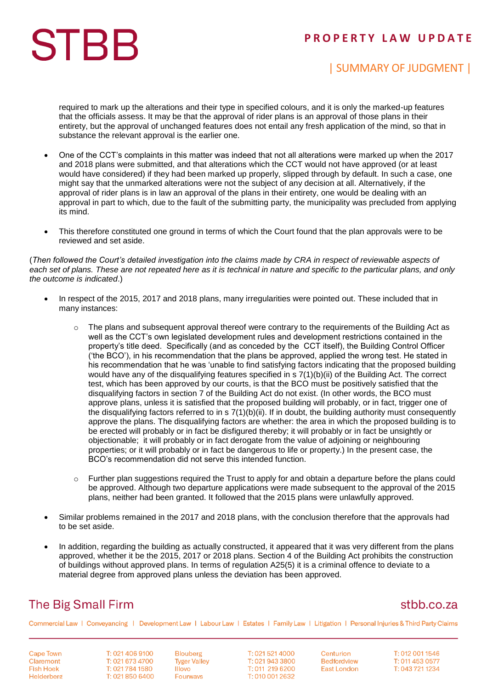### **P R O P E R T Y L A W U P D A T E**

# **STBB**

## | SUMMARY OF JUDGMENT |

required to mark up the alterations and their type in specified colours, and it is only the marked-up features that the officials assess. It may be that the approval of rider plans is an approval of those plans in their entirety, but the approval of unchanged features does not entail any fresh application of the mind, so that in substance the relevant approval is the earlier one.

- One of the CCT's complaints in this matter was indeed that not all alterations were marked up when the 2017 and 2018 plans were submitted, and that alterations which the CCT would not have approved (or at least would have considered) if they had been marked up properly, slipped through by default. In such a case, one might say that the unmarked alterations were not the subject of any decision at all. Alternatively, if the approval of rider plans is in law an approval of the plans in their entirety, one would be dealing with an approval in part to which, due to the fault of the submitting party, the municipality was precluded from applying its mind.
- This therefore constituted one ground in terms of which the Court found that the plan approvals were to be reviewed and set aside.

(*Then followed the Court's detailed investigation into the claims made by CRA in respect of reviewable aspects of each set of plans. These are not repeated here as it is technical in nature and specific to the particular plans, and only the outcome is indicated*.)

- In respect of the 2015, 2017 and 2018 plans, many irregularities were pointed out. These included that in many instances:
	- $\circ$  The plans and subsequent approval thereof were contrary to the requirements of the Building Act as well as the CCT's own legislated development rules and development restrictions contained in the property's title deed. Specifically (and as conceded by the CCT itself), the Building Control Officer ('the BCO'), in his recommendation that the plans be approved, applied the wrong test. He stated in his recommendation that he was 'unable to find satisfying factors indicating that the proposed building would have any of the disqualifying features specified in s  $7(1)(b)(ii)$  of the Building Act. The correct test, which has been approved by our courts, is that the BCO must be positively satisfied that the disqualifying factors in section 7 of the Building Act do not exist. (In other words, the BCO must approve plans, unless it is satisfied that the proposed building will probably, or in fact, trigger one of the disqualifying factors referred to in  $s$   $7(1)(b)(ii)$ . If in doubt, the building authority must consequently approve the plans. The disqualifying factors are whether: the area in which the proposed building is to be erected will probably or in fact be disfigured thereby; it will probably or in fact be unsightly or objectionable; it will probably or in fact derogate from the value of adjoining or neighbouring properties; or it will probably or in fact be dangerous to life or property.) In the present case, the BCO's recommendation did not serve this intended function.
	- o Further plan suggestions required the Trust to apply for and obtain a departure before the plans could be approved. Although two departure applications were made subsequent to the approval of the 2015 plans, neither had been granted. It followed that the 2015 plans were unlawfully approved.
- Similar problems remained in the 2017 and 2018 plans, with the conclusion therefore that the approvals had to be set aside.
- In addition, regarding the building as actually constructed, it appeared that it was very different from the plans approved, whether it be the 2015, 2017 or 2018 plans. Section 4 of the Building Act prohibits the construction of buildings without approved plans. In terms of regulation A25(5) it is a criminal offence to deviate to a material degree from approved plans unless the deviation has been approved.

## **The Big Small Firm**

### stbb.co.za

Commercial Law | Conveyancing | Development Law | Labour Law | Estates | Family Law | Litigation | Personal Injuries & Third Party Claims

**Cape Town** Claremont **Fish Hoek** Helderberg

T: 021 406 9100 T: 021 673 4700 T: 021 784 1580 T: 021 850 6400

**Blouberg Tyger Valley Illovo** Fourways

T: 021 521 4000 T: 021 943 3800 T: 011 219 6200 T: 010 001 2632

Centurion **Bedfordview East London** 

T: 012 001 1546 T: 011 453 0577 T: 043 721 1234